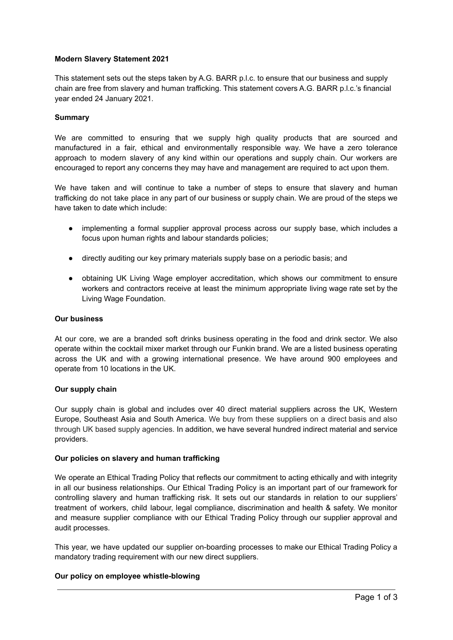### **Modern Slavery Statement 2021**

This statement sets out the steps taken by A.G. BARR p.l.c. to ensure that our business and supply chain are free from slavery and human trafficking. This statement covers A.G. BARR p.l.c.'s financial year ended 24 January 2021.

### **Summary**

We are committed to ensuring that we supply high quality products that are sourced and manufactured in a fair, ethical and environmentally responsible way. We have a zero tolerance approach to modern slavery of any kind within our operations and supply chain. Our workers are encouraged to report any concerns they may have and management are required to act upon them.

We have taken and will continue to take a number of steps to ensure that slavery and human trafficking do not take place in any part of our business or supply chain. We are proud of the steps we have taken to date which include:

- implementing a formal supplier approval process across our supply base, which includes a focus upon human rights and labour standards policies;
- directly auditing our key primary materials supply base on a periodic basis; and
- obtaining UK Living Wage employer accreditation, which shows our commitment to ensure workers and contractors receive at least the minimum appropriate living wage rate set by the Living Wage Foundation.

### **Our business**

At our core, we are a branded soft drinks business operating in the food and drink sector. We also operate within the cocktail mixer market through our Funkin brand. We are a listed business operating across the UK and with a growing international presence. We have around 900 employees and operate from 10 locations in the UK.

### **Our supply chain**

Our supply chain is global and includes over 40 direct material suppliers across the UK, Western Europe, Southeast Asia and South America. We buy from these suppliers on a direct basis and also through UK based supply agencies. In addition, we have several hundred indirect material and service providers.

### **Our policies on slavery and human trafficking**

We operate an Ethical Trading Policy that reflects our commitment to acting ethically and with integrity in all our business relationships. Our Ethical Trading Policy is an important part of our framework for controlling slavery and human trafficking risk. It sets out our standards in relation to our suppliers' treatment of workers, child labour, legal compliance, discrimination and health & safety. We monitor and measure supplier compliance with our Ethical Trading Policy through our supplier approval and audit processes.

This year, we have updated our supplier on-boarding processes to make our Ethical Trading Policy a mandatory trading requirement with our new direct suppliers.

# **Our policy on employee whistle-blowing**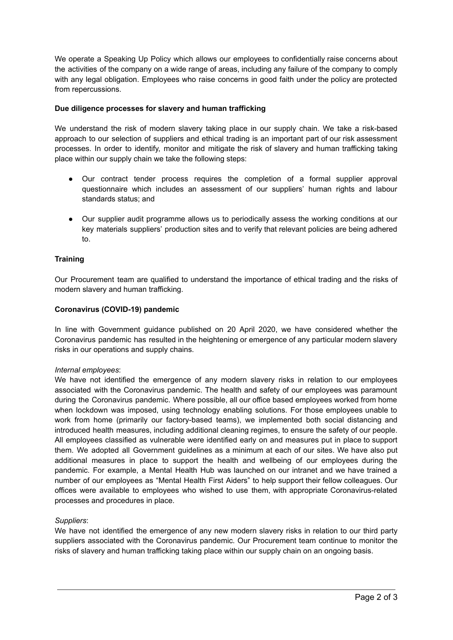We operate a Speaking Up Policy which allows our employees to confidentially raise concerns about the activities of the company on a wide range of areas, including any failure of the company to comply with any legal obligation. Employees who raise concerns in good faith under the policy are protected from repercussions.

# **Due diligence processes for slavery and human trafficking**

We understand the risk of modern slavery taking place in our supply chain. We take a risk-based approach to our selection of suppliers and ethical trading is an important part of our risk assessment processes. In order to identify, monitor and mitigate the risk of slavery and human trafficking taking place within our supply chain we take the following steps:

- Our contract tender process requires the completion of a formal supplier approval questionnaire which includes an assessment of our suppliers' human rights and labour standards status; and
- Our supplier audit programme allows us to periodically assess the working conditions at our key materials suppliers' production sites and to verify that relevant policies are being adhered to.

# **Training**

Our Procurement team are qualified to understand the importance of ethical trading and the risks of modern slavery and human trafficking.

### **Coronavirus (COVID-19) pandemic**

In line with Government guidance published on 20 April 2020, we have considered whether the Coronavirus pandemic has resulted in the heightening or emergence of any particular modern slavery risks in our operations and supply chains.

### *Internal employees*:

We have not identified the emergence of any modern slavery risks in relation to our employees associated with the Coronavirus pandemic. The health and safety of our employees was paramount during the Coronavirus pandemic. Where possible, all our office based employees worked from home when lockdown was imposed, using technology enabling solutions. For those employees unable to work from home (primarily our factory-based teams), we implemented both social distancing and introduced health measures, including additional cleaning regimes, to ensure the safety of our people. All employees classified as vulnerable were identified early on and measures put in place to support them. We adopted all Government guidelines as a minimum at each of our sites. We have also put additional measures in place to support the health and wellbeing of our employees during the pandemic. For example, a Mental Health Hub was launched on our intranet and we have trained a number of our employees as "Mental Health First Aiders" to help support their fellow colleagues. Our offices were available to employees who wished to use them, with appropriate Coronavirus-related processes and procedures in place.

### *Suppliers*:

We have not identified the emergence of any new modern slavery risks in relation to our third party suppliers associated with the Coronavirus pandemic. Our Procurement team continue to monitor the risks of slavery and human trafficking taking place within our supply chain on an ongoing basis.